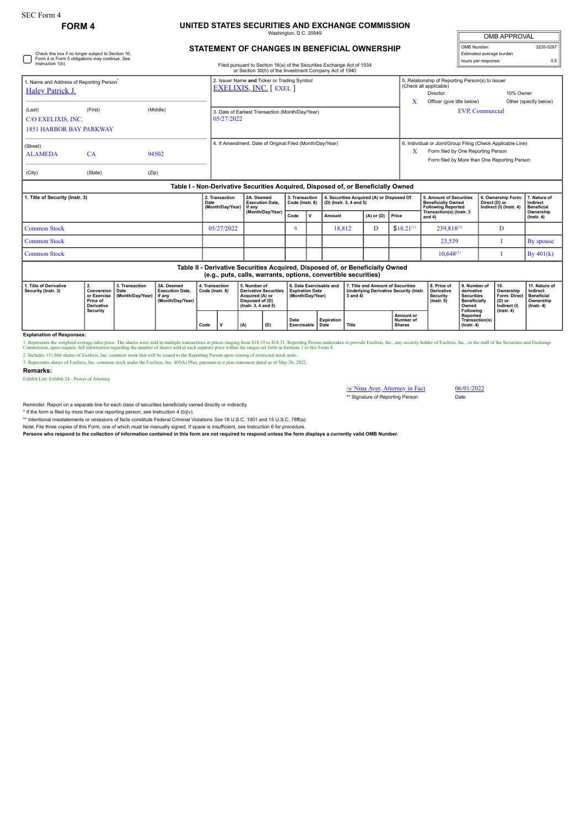## **FORM 4 UNITED STATES SECURITIES AND EXCHANGE COMMISSION**

Washington, D.C. 205

| <b>OMB APPROVAL</b>      |           |
|--------------------------|-----------|
| OMB Number:              | 3235-0287 |
| Estimated average burden |           |
| hours per response:      | ሰ 5       |

| Instruction 1(b).                                              | Check this box if no longer subject to Section 16.<br>Form 4 or Form 5 obligations may continue. See |                                                  |                                            | or Section 30(h) of the Investment Company Act of 1940                                                                                                                                                                                               |  |  | <b>STATEMENT OF CHANGES IN BENEFICIAL OWNERSHIP</b><br>Filed pursuant to Section 16(a) of the Securities Exchange Act of 1934 |                                                                                                               |                        |                                                                                                                      | OMB Number:                                                                | Estimated average burden<br>hours per response:                                                                                                   | 3235-028<br>0         |
|----------------------------------------------------------------|------------------------------------------------------------------------------------------------------|--------------------------------------------------|--------------------------------------------|------------------------------------------------------------------------------------------------------------------------------------------------------------------------------------------------------------------------------------------------------|--|--|-------------------------------------------------------------------------------------------------------------------------------|---------------------------------------------------------------------------------------------------------------|------------------------|----------------------------------------------------------------------------------------------------------------------|----------------------------------------------------------------------------|---------------------------------------------------------------------------------------------------------------------------------------------------|-----------------------|
| <b>Haley Patrick J.</b>                                        | 1. Name and Address of Reporting Person <sup>*</sup>                                                 |                                                  |                                            | 2. Issuer Name and Ticker or Trading Symbol<br><b>EXELIXIS, INC.</b> [ EXEL ]                                                                                                                                                                        |  |  |                                                                                                                               |                                                                                                               | X                      | 5. Relationship of Reporting Person(s) to Issuer<br>(Check all applicable)<br>Director<br>Officer (give title below) |                                                                            | 10% Owner                                                                                                                                         | Other (specify below) |
| (Last)<br>C/O EXELIXIS, INC.<br><b>1851 HARBOR BAY PARKWAY</b> | 05/27/2022                                                                                           | 3. Date of Earliest Transaction (Month/Day/Year) |                                            |                                                                                                                                                                                                                                                      |  |  |                                                                                                                               |                                                                                                               | <b>EVP, Commercial</b> |                                                                                                                      |                                                                            |                                                                                                                                                   |                       |
| (Street)<br><b>ALAMEDA</b><br>(City)                           | CA<br>(State)                                                                                        | 94502<br>(Zip)                                   |                                            | 4. If Amendment, Date of Original Filed (Month/Day/Year)                                                                                                                                                                                             |  |  |                                                                                                                               |                                                                                                               | X                      |                                                                                                                      |                                                                            | 6. Individual or Joint/Group Filing (Check Applicable Line)<br>Form filed by One Reporting Person<br>Form filed by More than One Reporting Person |                       |
|                                                                |                                                                                                      |                                                  |                                            |                                                                                                                                                                                                                                                      |  |  | Table I - Non-Derivative Securities Acquired, Disposed of, or Beneficially Owned                                              |                                                                                                               |                        |                                                                                                                      |                                                                            |                                                                                                                                                   |                       |
| 1. Title of Security (Instr. 3)                                |                                                                                                      |                                                  | 2. Transaction<br>Date<br>(Month/Day/Year) | 2A. Deemed<br>3. Transaction<br>4. Securities Acquired (A) or Disposed Of<br>Code (Instr. 8)<br>(D) (Instr. 3, 4 and 5)<br><b>Execution Date.</b><br>if any<br>(Month/Day/Year)<br>$\mathsf{I} \mathsf{v}$<br>$(A)$ or $(D)$ Price<br>Code<br>Amount |  |  |                                                                                                                               | 5. Amount of Securities<br><b>Beneficially Owned</b><br><b>Following Reported</b><br>Transaction(s) (Instr. 3 |                        | 6. Ownership Form:<br>Direct (D) or<br>Indirect (I) (Instr. 4                                                        | . Nature of<br>Indirect<br><b>Beneficial</b><br>Ownership<br>$(1 - 2 - 4)$ |                                                                                                                                                   |                       |

| 1. Title of Security (Instr. 3)                                                                                                                 | 2. Transaction<br>Date<br>(Month/Dav/Year) | 2A. Deemed<br><b>Execution Date.</b><br>l if anv<br>(Month/Dav/Year) | Code (Instr. 8) |  | 3. Transaction   4. Securities Acquired (A) or Disposed Of<br>$ $ (D) (lnstr. 3, 4 and 5) |                      |                | <b>5. Amount of Securities</b><br><b>Beneficially Owned</b><br><b>Following Reported</b> | 6. Ownership Form: 17. Nature of<br>Direct (D) or<br>Indirect (I) (Instr. 4) | Indirect<br><b>Beneficial</b> |  |  |
|-------------------------------------------------------------------------------------------------------------------------------------------------|--------------------------------------------|----------------------------------------------------------------------|-----------------|--|-------------------------------------------------------------------------------------------|----------------------|----------------|------------------------------------------------------------------------------------------|------------------------------------------------------------------------------|-------------------------------|--|--|
|                                                                                                                                                 |                                            |                                                                      | Code            |  | Amount                                                                                    | $(A)$ or $(D)$ Price |                | Transaction(s) (Instr. 3<br>and 4)                                                       |                                                                              | Ownership<br>$($ lnstr. 4 $)$ |  |  |
| <b>Common Stock</b>                                                                                                                             | 05/27/2022                                 |                                                                      |                 |  | 18.812                                                                                    |                      | $$18.21^{(1)}$ | 239,818 <sup>(2)</sup>                                                                   |                                                                              |                               |  |  |
| <b>Common Stock</b>                                                                                                                             |                                            |                                                                      |                 |  |                                                                                           |                      |                | 23,539                                                                                   |                                                                              | <b>By</b> spouse              |  |  |
| <b>Common Stock</b>                                                                                                                             |                                            |                                                                      |                 |  |                                                                                           |                      |                | $10.648^{(3)}$                                                                           |                                                                              | By 401(k)                     |  |  |
| Table II - Derivative Securities Acquired, Disposed of, or Beneficially Owned<br>(e.g., puts, calls, warrants, options, convertible securities) |                                            |                                                                      |                 |  |                                                                                           |                      |                |                                                                                          |                                                                              |                               |  |  |

| 1. Title of Derivative<br>Security (Instr. 3) | Conversion<br>or Exercise<br>Price of<br><b>Derivative</b><br>Security | 3. Transaction<br>Date<br>(Month/Dav/Year) I if any | 3A. Deemed<br><b>Execution Date.</b><br>(Month/Dav/Year) | 4. Transaction<br>Code (Instr. 8) |  | 5. Number of<br><b>Derivative Securities</b><br>Acquired (A) or<br>Disposed of (D)<br>$($ lnstr. 3. 4 and 5 $)$ |     | 6. Date Exercisable and<br><b>Expiration Date</b><br>Month/Dav/Year) |                   | 7. Title and Amount of Securities<br>Underlving Derivative Security (Instr.<br>3 and 4) |                                                | 8. Price of<br><b>Derivative</b><br>Security<br>$($ lnstr. 5 $)$ | 9. Number of<br>derivative<br><b>Securities</b><br><b>Beneficially</b><br>Owned | <sup>1</sup> 10.<br>Ownership<br>Form: Direct<br>$(D)$ or<br>Indirect (I) | 11. Nature of<br>Indirect<br><b>Beneficial</b><br>Ownership<br>$($ lnstr. 4 $)$ |
|-----------------------------------------------|------------------------------------------------------------------------|-----------------------------------------------------|----------------------------------------------------------|-----------------------------------|--|-----------------------------------------------------------------------------------------------------------------|-----|----------------------------------------------------------------------|-------------------|-----------------------------------------------------------------------------------------|------------------------------------------------|------------------------------------------------------------------|---------------------------------------------------------------------------------|---------------------------------------------------------------------------|---------------------------------------------------------------------------------|
|                                               |                                                                        |                                                     |                                                          | Code                              |  | (A)                                                                                                             | (D) | <sup>1</sup> Date<br>Exercisable   Date                              | <b>Expiration</b> | Title                                                                                   | <b>Amount or</b><br>Number of<br><b>Shares</b> |                                                                  | Following<br>Reported<br>Transaction(s)  <br>$($ lnstr. 4 $)$                   | $($ lnstr, 4 $)$                                                          |                                                                                 |

## **Explanation of Responses:**

1. Represents the weighted average sales price. The shares were sold in multiple transactions at prices ranging from \$18.19 to \$18.31. Reporting Person undertakes to provide Exclixis, Inc., any security holder of Exclixis,

3. Represents shares of Exelixis, Inc. common stock under the Exelixis, Inc. 401(k) Plan, pursuant to a plan statement dated as of May 26, 2022.

## **Remarks:**

Exhibit List: Exhibit 24 - Power of Attorney

/s/ Nina Ayer, Attorney in Fact 06/01/2022<br>\*\* Signature of Reporting Person Date \*\* Signature of Reporting Person

Reminder: Report on a separate line for each class of securities beneficially owned directly or indirectly.

\* If the form is filed by more than one reporting person, *see* Instruction 4 (b)(v).

\*\* Intentional misstatements or omissions of facts constitute Federal Criminal Violations *See* 18 U.S.C. 1001 and 15 U.S.C. 78ff(a). Note: File three copies of this Form, one of which must be manually signed. If space is insufficient, *see* Instruction 6 for procedure.

**Persons who respond to the collection of information contained in this form are not required to respond unless the form displays a currently valid OMB Number.**